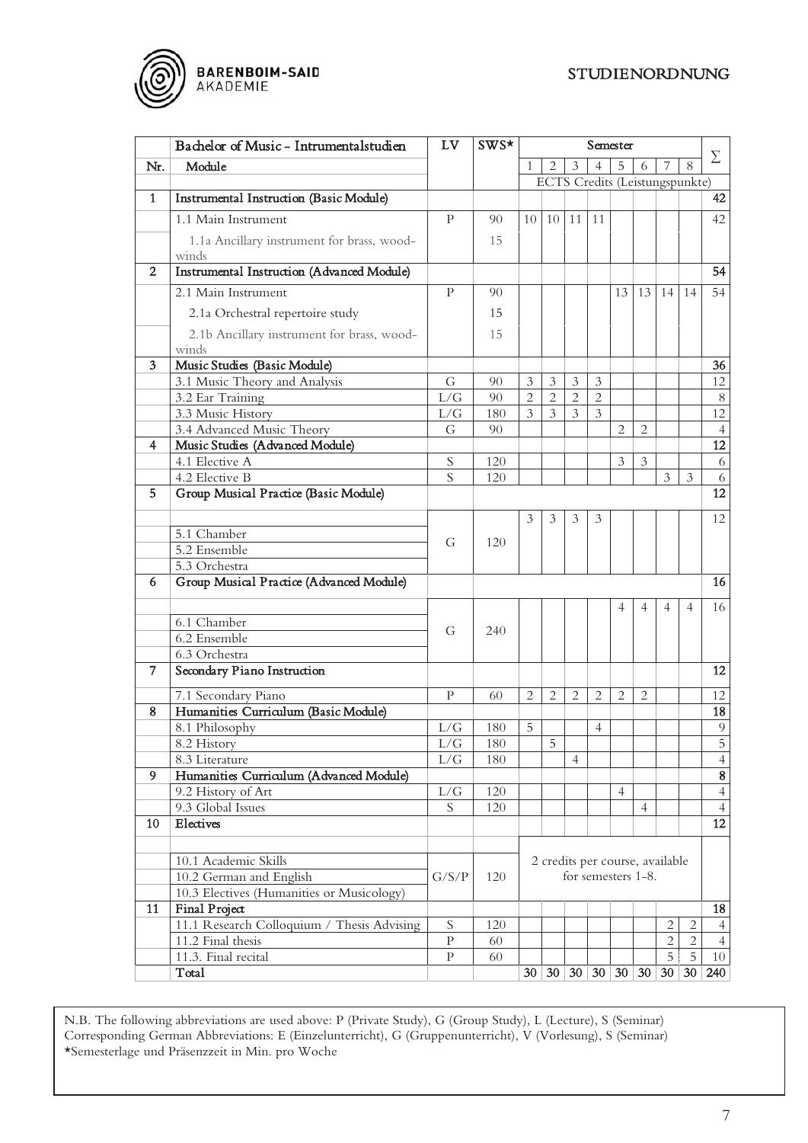## STUDIENORDNUNG



|                | Bachelor of Music - Intrumentalstudien                          | LV                | SWS*      | Semester                                                               |                |                |                |                |                |                     |                     |                      |
|----------------|-----------------------------------------------------------------|-------------------|-----------|------------------------------------------------------------------------|----------------|----------------|----------------|----------------|----------------|---------------------|---------------------|----------------------|
| Nr.            | Module                                                          |                   |           | $\mathfrak{Z}$<br>$\overline{2}$<br>$\overline{4}$<br>5<br>8<br>7<br>6 |                |                |                |                |                | Σ                   |                     |                      |
|                |                                                                 |                   |           | <b>ECTS</b> Credits (Leistungspunkte)                                  |                |                |                |                |                |                     |                     |                      |
| 1              | Instrumental Instruction (Basic Module)                         |                   |           |                                                                        |                |                |                |                |                |                     |                     | 42                   |
|                | 1.1 Main Instrument                                             | P                 | 90        | 10                                                                     | 10 l           | 11             | 11             |                |                |                     |                     | 42                   |
|                | 1.1a Ancillary instrument for brass, wood-<br>winds             |                   | 15        |                                                                        |                |                |                |                |                |                     |                     |                      |
| 2              | <b>Instrumental Instruction (Advanced Module)</b>               |                   |           |                                                                        |                |                |                |                |                |                     |                     | 54                   |
|                | 2.1 Main Instrument                                             | P                 | 90        |                                                                        |                |                |                | 13             | 13             | 14                  | 14                  | 54                   |
|                | 2.1a Orchestral repertoire study                                |                   | 15        |                                                                        |                |                |                |                |                |                     |                     |                      |
|                |                                                                 |                   | 15        |                                                                        |                |                |                |                |                |                     |                     |                      |
|                | 2.1b Ancillary instrument for brass, wood-<br>winds             |                   |           |                                                                        |                |                |                |                |                |                     |                     |                      |
| 3              | Music Studies (Basic Module)                                    |                   |           |                                                                        |                |                |                |                |                |                     |                     | 36                   |
|                | 3.1 Music Theory and Analysis                                   | G                 | 90        | 3                                                                      | $\mathfrak{Z}$ | 3              | 3              |                |                |                     |                     | 12                   |
|                | 3.2 Ear Training                                                | L/G               | 90        | $\overline{2}$                                                         | $\overline{2}$ | $\overline{2}$ | $\overline{2}$ |                |                |                     |                     | $8\,$                |
|                | 3.3 Music History                                               | L/G               | 180       | 3                                                                      | 3              | 3              | $\mathfrak{Z}$ |                |                |                     |                     | 12                   |
|                | 3.4 Advanced Music Theory                                       | G                 | 90        |                                                                        |                |                |                | $\overline{2}$ | $\overline{2}$ |                     |                     | $\overline{4}$       |
| 4              | Music Studies (Advanced Module)                                 |                   |           |                                                                        |                |                |                |                |                |                     |                     | $\overline{12}$      |
|                | 4.1 Elective A                                                  | S                 | 120       |                                                                        |                |                |                | 3              | 3              |                     |                     | $\sqrt{6}$           |
|                | 4.2 Elective B                                                  | S                 | 120       |                                                                        |                |                |                |                |                | $\mathfrak{Z}$      | $\mathfrak{Z}$      | $\sqrt{6}$           |
| 5.             | Group Musical Practice (Basic Module)                           |                   |           |                                                                        |                |                |                |                |                |                     |                     | 12                   |
|                |                                                                 |                   |           |                                                                        |                |                |                |                |                |                     |                     |                      |
|                |                                                                 |                   |           | 3                                                                      | 3              | 3              | 3              |                |                |                     |                     | 12                   |
|                | 5.1 Chamber                                                     | G                 | 120       |                                                                        |                |                |                |                |                |                     |                     |                      |
|                | 5.2 Ensemble                                                    |                   |           |                                                                        |                |                |                |                |                |                     |                     |                      |
|                | 5.3 Orchestra                                                   |                   |           |                                                                        |                |                |                |                |                |                     |                     |                      |
| 6              | Group Musical Practice (Advanced Module)                        |                   |           |                                                                        |                |                |                |                |                |                     |                     | 16                   |
|                |                                                                 |                   |           |                                                                        |                |                |                | 4              | 4              | $\overline{4}$      | 4                   | 16                   |
|                | 6.1 Chamber                                                     |                   |           |                                                                        |                |                |                |                |                |                     |                     |                      |
|                | 6.2 Ensemble                                                    | G                 | 240       |                                                                        |                |                |                |                |                |                     |                     |                      |
|                | 6.3 Orchestra                                                   |                   |           |                                                                        |                |                |                |                |                |                     |                     |                      |
| $\overline{7}$ | Secondary Piano Instruction                                     |                   |           |                                                                        |                |                |                |                |                |                     |                     | 12                   |
|                | 7.1 Secondary Piano                                             | P                 | 60        | 2                                                                      | $\overline{2}$ | 2              | $\overline{2}$ | $\overline{2}$ | $\overline{2}$ |                     |                     | 12                   |
| 8              | Humanities Curriculum (Basic Module)                            |                   |           |                                                                        |                |                |                |                |                |                     |                     | 18                   |
|                | 8.1 Philosophy                                                  | L/G               | 180       | 5                                                                      |                |                | $\overline{4}$ |                |                |                     |                     | 9                    |
|                | 8.2 History                                                     | $\rm L/G$         | $180\,$   |                                                                        | 5              |                |                |                |                |                     |                     | $\overline{5}$       |
|                | 8.3 Literature                                                  | L/G               | 180       |                                                                        |                | $\overline{4}$ |                |                |                |                     |                     | $\overline{4}$       |
| 9              | Humanities Curriculum (Advanced Module)                         |                   |           |                                                                        |                |                |                |                |                |                     |                     | $\bf 8$              |
|                | 9.2 History of Art                                              | L/G               | 120       |                                                                        |                |                |                | $\overline{4}$ |                |                     |                     | $\overline{4}$       |
|                | 9.3 Global Issues                                               | S                 | 120       |                                                                        |                |                |                |                | $\overline{4}$ |                     |                     | $\overline{4}$       |
| 10             | Electives                                                       |                   |           |                                                                        |                |                |                |                |                |                     |                     | 12                   |
|                |                                                                 |                   |           |                                                                        |                |                |                |                |                |                     |                     |                      |
|                | 10.1 Academic Skills                                            |                   |           |                                                                        |                |                |                |                |                |                     |                     |                      |
|                | 10.2 German and English                                         | G/S/P             | 120       | 2 credits per course, available<br>for semesters 1-8.                  |                |                |                |                |                |                     |                     |                      |
|                |                                                                 |                   |           |                                                                        |                |                |                |                |                |                     |                     |                      |
|                | 10.3 Electives (Humanities or Musicology)                       |                   |           |                                                                        |                |                |                |                |                |                     |                     |                      |
| 11             | Final Project                                                   |                   |           |                                                                        |                |                |                |                |                |                     |                     | 18                   |
|                | 11.1 Research Colloquium / Thesis Advising<br>11.2 Final thesis | S<br>$\mathbf{P}$ | 120<br>60 |                                                                        |                |                |                |                |                | 2<br>$\overline{2}$ | 2<br>$\overline{2}$ | $\overline{4}$       |
|                | 11.3. Final recital                                             | P                 | 60        |                                                                        |                |                |                |                |                | 5                   | $\overline{5}$      | $\overline{4}$<br>10 |
|                | Total                                                           |                   |           | 30 <sup>2</sup>                                                        |                |                |                | 30 30 30 30 30 |                | $\sqrt{30}$         | 30 <sup>2</sup>     | 240                  |
|                |                                                                 |                   |           |                                                                        |                |                |                |                |                |                     |                     |                      |

N.B. The following abbreviations are used above: P (Private Study), G (Group Study), L (Lecture), S (Seminar) Corresponding German Abbreviations: E (Einzelunterricht), G (Gruppenunterricht), V (Vorlesung), S (Seminar) \*Semesterlage und Präsenzzeit in Min. pro Woche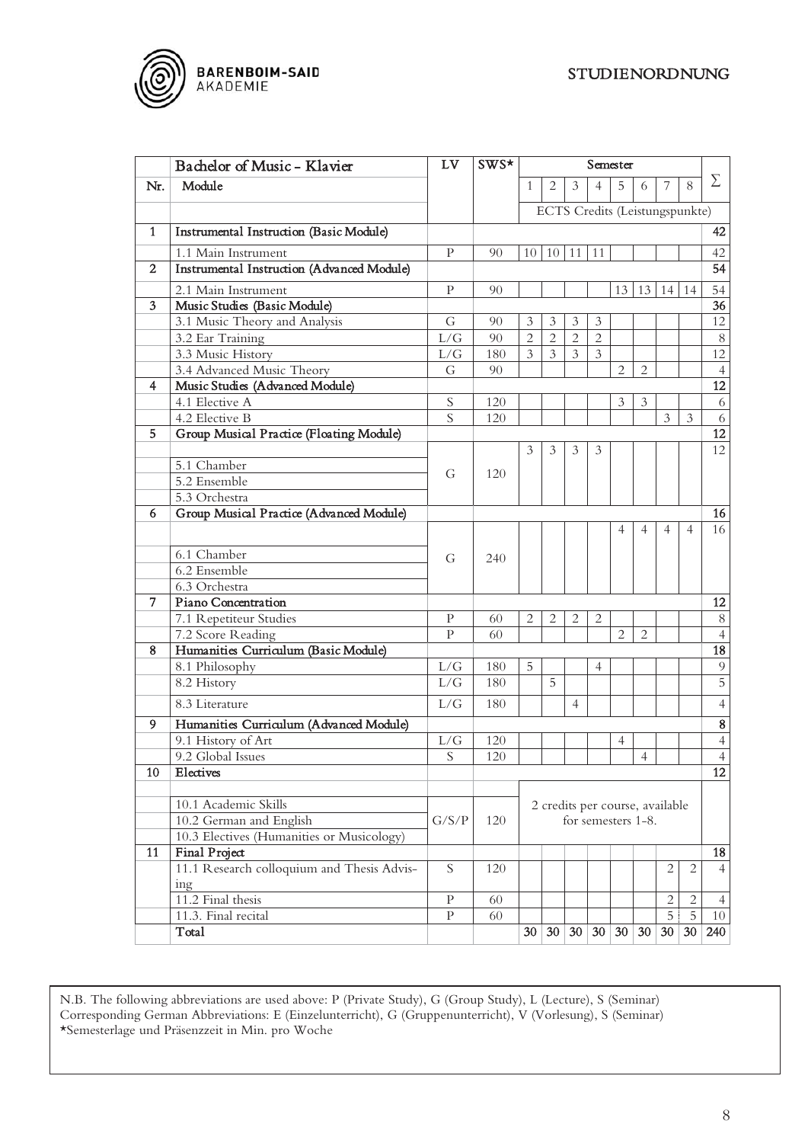

L

|              | Bachelor of Music - Klavier                    | LV             | SWS* | Semester                                              |                |                |                |                |                |                 |                                |                 |
|--------------|------------------------------------------------|----------------|------|-------------------------------------------------------|----------------|----------------|----------------|----------------|----------------|-----------------|--------------------------------|-----------------|
| Nr.          | Module                                         |                |      | $\mathbf{1}$                                          | 2              | 3              | $\overline{4}$ | 5              | 6              | 7               | 8                              | $\Sigma$        |
|              |                                                |                |      |                                                       |                |                |                |                |                |                 | ECTS Credits (Leistungspunkte) |                 |
| $\mathbf{1}$ | <b>Instrumental Instruction (Basic Module)</b> |                |      |                                                       |                |                |                |                |                |                 |                                | 42              |
|              | 1.1 Main Instrument                            | P              | 90   | 10                                                    | 10 11          |                | 11             |                |                |                 |                                | 42              |
| 2            | Instrumental Instruction (Advanced Module)     |                |      |                                                       |                |                |                |                |                |                 |                                | 54              |
|              | 2.1 Main Instrument                            | P              | 90   |                                                       |                |                |                | 13             | 13             | 14              | 14                             | 54              |
| 3            | Music Studies (Basic Module)                   |                |      |                                                       |                |                |                |                |                |                 |                                | $\overline{36}$ |
|              | 3.1 Music Theory and Analysis                  | G              | 90   | 3                                                     | 3              | 3              | 3              |                |                |                 |                                | 12              |
|              | 3.2 Ear Training                               | L/G            | 90   | $\overline{2}$                                        | $\overline{2}$ | $\overline{2}$ | $\overline{2}$ |                |                |                 |                                | $8\,$           |
|              | 3.3 Music History                              | L/G            | 180  | 3                                                     | 3              | $\overline{3}$ | $\overline{3}$ |                |                |                 |                                | 12              |
|              | 3.4 Advanced Music Theory                      | G              | 90   |                                                       |                |                |                | $\overline{2}$ | $\overline{2}$ |                 |                                | $\overline{4}$  |
| 4            | Music Studies (Advanced Module)                |                |      |                                                       |                |                |                |                |                |                 |                                | $\overline{12}$ |
|              | 4.1 Elective A                                 | S              | 120  |                                                       |                |                |                | 3              | 3              |                 |                                | 6               |
|              | 4.2 Elective B                                 | $\overline{S}$ | 120  |                                                       |                |                |                |                |                | $\mathfrak{Z}$  | 3                              | 6               |
| 5            | Group Musical Practice (Floating Module)       |                |      |                                                       |                |                |                |                |                |                 |                                | 12              |
|              |                                                |                |      | 3                                                     | 3              | 3              | 3              |                |                |                 |                                | 12              |
|              | 5.1 Chamber                                    |                |      |                                                       |                |                |                |                |                |                 |                                |                 |
|              | 5.2 Ensemble                                   | G              | 120  |                                                       |                |                |                |                |                |                 |                                |                 |
|              | 5.3 Orchestra                                  |                |      |                                                       |                |                |                |                |                |                 |                                |                 |
| 6            | Group Musical Practice (Advanced Module)       |                |      |                                                       |                |                |                |                |                |                 |                                | 16              |
|              |                                                |                |      |                                                       |                |                |                | 4              | 4              | $\overline{4}$  | 4                              | 16              |
|              |                                                |                |      |                                                       |                |                |                |                |                |                 |                                |                 |
|              | 6.1 Chamber                                    | G              | 240  |                                                       |                |                |                |                |                |                 |                                |                 |
|              | 6.2 Ensemble                                   |                |      |                                                       |                |                |                |                |                |                 |                                |                 |
|              | 6.3 Orchestra                                  |                |      |                                                       |                |                |                |                |                |                 |                                |                 |
| 7            | Piano Concentration                            |                |      |                                                       |                |                |                |                |                |                 |                                | 12              |
|              | 7.1 Repetiteur Studies                         | P              | 60   | $\overline{2}$                                        | 2              | $\overline{2}$ | $\overline{2}$ |                |                |                 |                                | $8\,$           |
|              | 7.2 Score Reading                              | $\mathbf{P}$   | 60   |                                                       |                |                |                | $\overline{2}$ | $\overline{2}$ |                 |                                | $\frac{4}{18}$  |
| 8            | Humanities Curriculum (Basic Module)           |                |      |                                                       |                |                |                |                |                |                 |                                |                 |
|              | 8.1 Philosophy                                 | L/G            | 180  | 5                                                     |                |                | $\overline{4}$ |                |                |                 |                                | $\overline{9}$  |
|              | 8.2 History                                    | L/G            | 180  |                                                       | 5              |                |                |                |                |                 |                                | $\overline{5}$  |
|              | 8.3 Literature                                 | L/G            | 180  |                                                       |                | 4              |                |                |                |                 |                                | $\overline{4}$  |
| 9            | Humanities Curriculum (Advanced Module)        |                |      |                                                       |                |                |                |                |                |                 |                                | $\bf 8$         |
|              | 9.1 History of Art                             | L/G            | 120  |                                                       |                |                |                | 4              |                |                 |                                | $\overline{4}$  |
|              | 9.2 Global Issues                              | $\overline{S}$ | 120  |                                                       |                |                |                |                | $\overline{4}$ |                 |                                | $\overline{4}$  |
| 10           | Electives                                      |                |      |                                                       |                |                |                |                |                |                 |                                | 12              |
|              |                                                |                |      |                                                       |                |                |                |                |                |                 |                                |                 |
|              | 10.1 Academic Skills                           |                |      | 2 credits per course, available<br>for semesters 1-8. |                |                |                |                |                |                 |                                |                 |
|              | 10.2 German and English                        | G/S/P          | 120  |                                                       |                |                |                |                |                |                 |                                |                 |
|              | 10.3 Electives (Humanities or Musicology)      |                |      |                                                       |                |                |                |                |                |                 |                                |                 |
| 11           | Final Project                                  |                |      |                                                       |                |                |                |                |                |                 |                                | 18              |
|              | 11.1 Research colloquium and Thesis Advis-     | S              | 120  |                                                       |                |                |                |                |                | 2               | $\overline{c}$                 | $\overline{4}$  |
|              | ing                                            |                |      |                                                       |                |                |                |                |                |                 |                                |                 |
|              | 11.2 Final thesis                              | P              | 60   |                                                       |                |                |                |                |                | $\overline{2}$  | 2                              | $\overline{4}$  |
|              | 11.3. Final recital                            | $\mathbf{P}$   | 60   |                                                       |                |                |                |                |                | 5               | 5                              | 10              |
|              | Total                                          |                |      | 30                                                    |                | 30 30 30 30 30 |                |                |                | 30 <sup>°</sup> | 30                             | 240             |

N.B. The following abbreviations are used above: P (Private Study), G (Group Study), L (Lecture), S (Seminar) Corresponding German Abbreviations: E (Einzelunterricht), G (Gruppenunterricht), V (Vorlesung), S (Seminar) \*Semesterlage und Präsenzzeit in Min. pro Woche